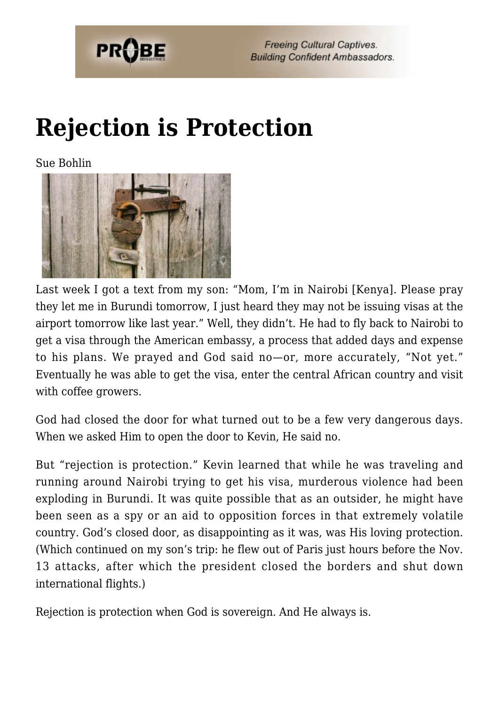

**Freeing Cultural Captives. Building Confident Ambassadors.** 

## **[Rejection is Protection](https://probe.org/rejection-is-protection/)**

Sue Bohlin



Last week I got a text from my son: "Mom, I'm in Nairobi [Kenya]. Please pray they let me in Burundi tomorrow, I just heard they may not be issuing visas at the airport tomorrow like last year." Well, they didn't. He had to fly back to Nairobi to get a visa through the American embassy, a process that added days and expense to his plans. We prayed and God said no—or, more accurately, "Not yet." Eventually he was able to get the visa, enter the central African country and visit with coffee growers.

God had closed the door for what turned out to be a few very dangerous days. When we asked Him to open the door to Kevin, He said no.

But "rejection is protection." Kevin learned that while he was traveling and running around Nairobi trying to get his visa, murderous violence had been exploding in Burundi. It was quite possible that as an outsider, he might have been seen as a spy or an aid to opposition forces in that extremely volatile country. God's closed door, as disappointing as it was, was His loving protection. (Which continued on my son's trip: he flew out of Paris just hours before the Nov. 13 attacks, after which the president closed the borders and shut down international flights.)

Rejection is protection when God is sovereign. And He always is.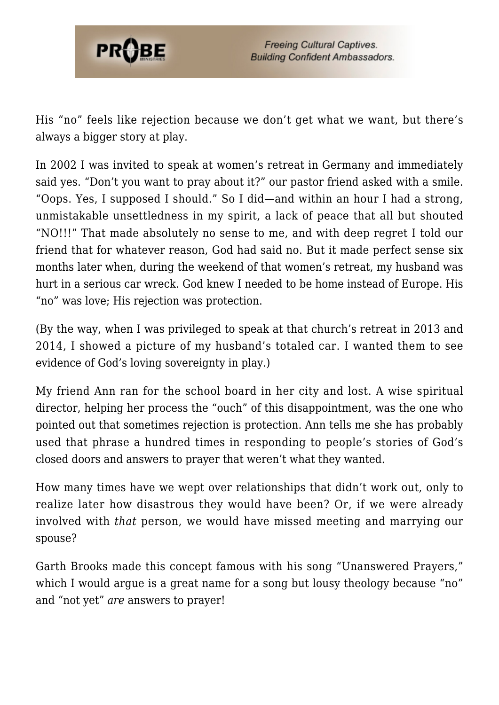

His "no" feels like rejection because we don't get what we want, but there's always a bigger story at play.

In 2002 I was invited to speak at women's retreat in Germany and immediately said yes. "Don't you want to pray about it?" our pastor friend asked with a smile. "Oops. Yes, I supposed I should." So I did—and within an hour I had a strong, unmistakable unsettledness in my spirit, a lack of peace that all but shouted "NO!!!" That made absolutely no sense to me, and with deep regret I told our friend that for whatever reason, God had said no. But it made perfect sense six months later when, during the weekend of that women's retreat, my husband was hurt in a serious car wreck. God knew I needed to be home instead of Europe. His "no" was love; His rejection was protection.

(By the way, when I was privileged to speak at that church's retreat in 2013 and 2014, I showed a picture of my husband's totaled car. I wanted them to see evidence of God's loving sovereignty in play.)

My friend Ann ran for the school board in her city and lost. A wise spiritual director, helping her process the "ouch" of this disappointment, was the one who pointed out that sometimes rejection is protection. Ann tells me she has probably used that phrase a hundred times in responding to people's stories of God's closed doors and answers to prayer that weren't what they wanted.

How many times have we wept over relationships that didn't work out, only to realize later how disastrous they would have been? Or, if we were already involved with *that* person, we would have missed meeting and marrying our spouse?

Garth Brooks made this concept famous with his song "Unanswered Prayers," which I would argue is a great name for a song but lousy theology because "no" and "not yet" *are* answers to prayer!